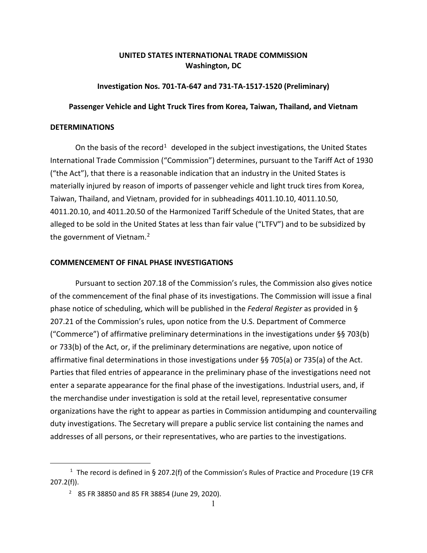# **UNITED STATES INTERNATIONAL TRADE COMMISSION Washington, DC**

### **Investigation Nos. 701-TA-647 and 731-TA-1517-1520 (Preliminary)**

#### **Passenger Vehicle and Light Truck Tires from Korea, Taiwan, Thailand, and Vietnam**

#### **DETERMINATIONS**

On the basis of the record<sup>[1](#page-0-0)</sup> developed in the subject investigations, the United States International Trade Commission ("Commission") determines, pursuant to the Tariff Act of 1930 ("the Act"), that there is a reasonable indication that an industry in the United States is materially injured by reason of imports of passenger vehicle and light truck tires from Korea, Taiwan, Thailand, and Vietnam, provided for in subheadings 4011.10.10, 4011.10.50, 4011.20.10, and 4011.20.50 of the Harmonized Tariff Schedule of the United States, that are alleged to be sold in the United States at less than fair value ("LTFV") and to be subsidized by the government of Vietnam.<sup>[2](#page-0-1)</sup>

## **COMMENCEMENT OF FINAL PHASE INVESTIGATIONS**

Pursuant to section 207.18 of the Commission's rules, the Commission also gives notice of the commencement of the final phase of its investigations. The Commission will issue a final phase notice of scheduling, which will be published in the *Federal Register* as provided in § 207.21 of the Commission's rules, upon notice from the U.S. Department of Commerce ("Commerce") of affirmative preliminary determinations in the investigations under §§ 703(b) or 733(b) of the Act, or, if the preliminary determinations are negative, upon notice of affirmative final determinations in those investigations under §§ 705(a) or 735(a) of the Act. Parties that filed entries of appearance in the preliminary phase of the investigations need not enter a separate appearance for the final phase of the investigations. Industrial users, and, if the merchandise under investigation is sold at the retail level, representative consumer organizations have the right to appear as parties in Commission antidumping and countervailing duty investigations. The Secretary will prepare a public service list containing the names and addresses of all persons, or their representatives, who are parties to the investigations.

<span id="page-0-1"></span><span id="page-0-0"></span><sup>&</sup>lt;sup>1</sup> The record is defined in § 207.2(f) of the Commission's Rules of Practice and Procedure (19 CFR 207.2(f)).

<sup>2</sup> 85 FR 38850 and 85 FR 38854 (June 29, 2020).